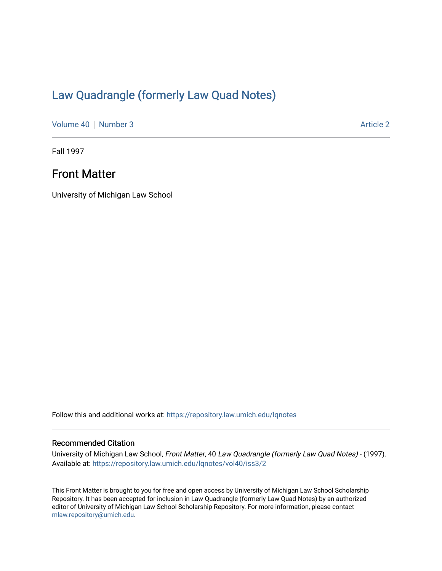# [Law Quadrangle \(formerly Law Quad Notes\)](https://repository.law.umich.edu/lqnotes)

[Volume 40](https://repository.law.umich.edu/lqnotes/vol40) [Number 3](https://repository.law.umich.edu/lqnotes/vol40/iss3) Article 2

Fall 1997

## Front Matter

University of Michigan Law School

Follow this and additional works at: [https://repository.law.umich.edu/lqnotes](https://repository.law.umich.edu/lqnotes?utm_source=repository.law.umich.edu%2Flqnotes%2Fvol40%2Fiss3%2F2&utm_medium=PDF&utm_campaign=PDFCoverPages) 

#### Recommended Citation

University of Michigan Law School, Front Matter, 40 Law Quadrangle (formerly Law Quad Notes) - (1997). Available at: [https://repository.law.umich.edu/lqnotes/vol40/iss3/2](https://repository.law.umich.edu/lqnotes/vol40/iss3/2?utm_source=repository.law.umich.edu%2Flqnotes%2Fvol40%2Fiss3%2F2&utm_medium=PDF&utm_campaign=PDFCoverPages) 

This Front Matter is brought to you for free and open access by University of Michigan Law School Scholarship Repository. It has been accepted for inclusion in Law Quadrangle (formerly Law Quad Notes) by an authorized editor of University of Michigan Law School Scholarship Repository. For more information, please contact [mlaw.repository@umich.edu.](mailto:mlaw.repository@umich.edu)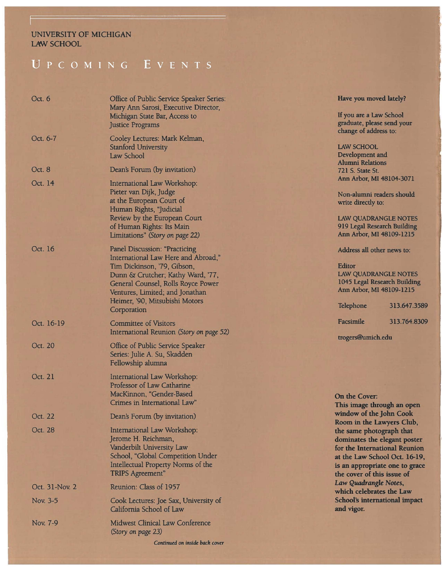#### UNIVERSITY OF MICHIGAN LAW SCHOOL

## UPCOMING EVENTS

| Oct. 6         | Office of Public Service Speaker Series:<br>Mary Ann Sarosi, Executive Director,<br>Michigan State Bar, Access to<br><b>Justice Programs</b>                                                                                                                              |
|----------------|---------------------------------------------------------------------------------------------------------------------------------------------------------------------------------------------------------------------------------------------------------------------------|
| Oct. 6-7       | Cooley Lectures: Mark Kelman,<br><b>Stanford University</b><br>Law School                                                                                                                                                                                                 |
| Oct. 8         | Dean's Forum (by invitation)                                                                                                                                                                                                                                              |
| Oct. 14        | International Law Workshop:<br>Pieter van Dijk, Judge<br>at the European Court of<br>Human Rights, "Judicial<br>Review by the European Court<br>of Human Rights: Its Main<br>Limitations" (Story on page 22)                                                              |
| Oct. 16        | <b>Panel Discussion: "Practicing</b><br>International Law Here and Abroad,"<br>Tim Dickinson, '79, Gibson,<br>Dunn & Crutcher; Kathy Ward, '77,<br>General Counsel, Rolls Royce Power<br>Ventures, Limited; and Jonathan<br>Heimer, '90, Mitsubishi Motors<br>Corporation |
| Oct. 16-19     | <b>Committee of Visitors</b><br>International Reunion (Story on page 52)                                                                                                                                                                                                  |
| Oct. 20        | Office of Public Service Speaker<br>Series: Julie A. Su, Skadden<br>Fellowship alumna                                                                                                                                                                                     |
| Oct. 21        | International Law Workshop:<br>Professor of Law Catharine<br>MacKinnon, "Gender-Based<br>Crimes in International Law"                                                                                                                                                     |
| Oct. 22        | Dean's Forum (by invitation)                                                                                                                                                                                                                                              |
| Oct. 28        | International Law Workshop:<br>Jerome H. Reichman,<br>Vanderbilt University Law<br>School, "Global Competition Under<br>Intellectual Property Norms of the<br><b>TRIPS Agreement"</b>                                                                                     |
| Oct. 31-Nov. 2 | Reunion: Class of 1957                                                                                                                                                                                                                                                    |
| Nov. 3-5       | Cook Lectures: Joe Sax, University of<br>California School of Law                                                                                                                                                                                                         |
| Nov. 7-9       | <b>Midwest Clinical Law Conference</b><br>(Story on page 23)                                                                                                                                                                                                              |
|                | Continued on inside back cover                                                                                                                                                                                                                                            |

#### **Have you moved lately?**

If you are a Law School graduate, please send your change of address to:

#### LAW SCHOOL

Development and Alumni Relations 721 S. State St. Ann Arbor, MI 48104-3071

Non-alumni readers should write directly to:

LAW QUADRANGLE NOTES 919 Legal Research Building Ann Arbor, MI 48109-1215

#### Address all other news to:

#### Editor LAW QUADRANGLE NOTES 1045 Legal Research Building Ann Arbor, MI 48109-1215

Telephone Facsimile 313.647.3589 313.764.8309

trogers@umich.edu

#### **On the Cover:**

**This image through an open window of the John Cook Room** in **the Lawyers Club, the same photograph that dominates the elegant poster for the International Reunion at the Law School Oct. 16-19,**  is **an appropriate one to grace the cover of this issue of**  *Law Quadrangle Notes,*  **which celebrates the Law School's international impact and vigor.**